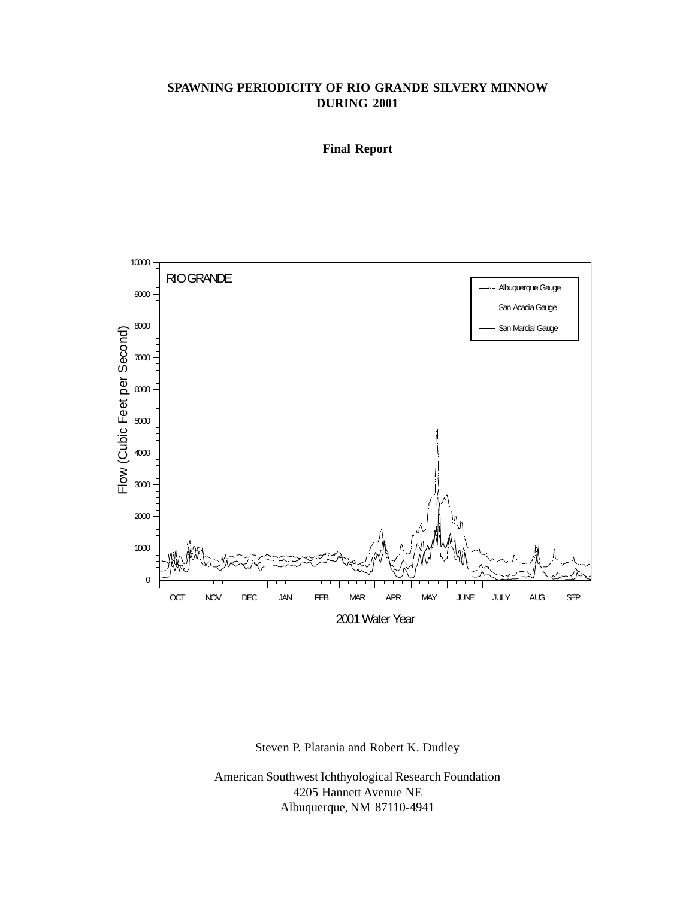# **SPAWNING PERIODICITY OF RIO GRANDE SILVERY MINNOW DURING 2001**

**Final Report**



Steven P. Platania and Robert K. Dudley

American Southwest Ichthyological Research Foundation 4205 Hannett Avenue NE Albuquerque, NM 87110-4941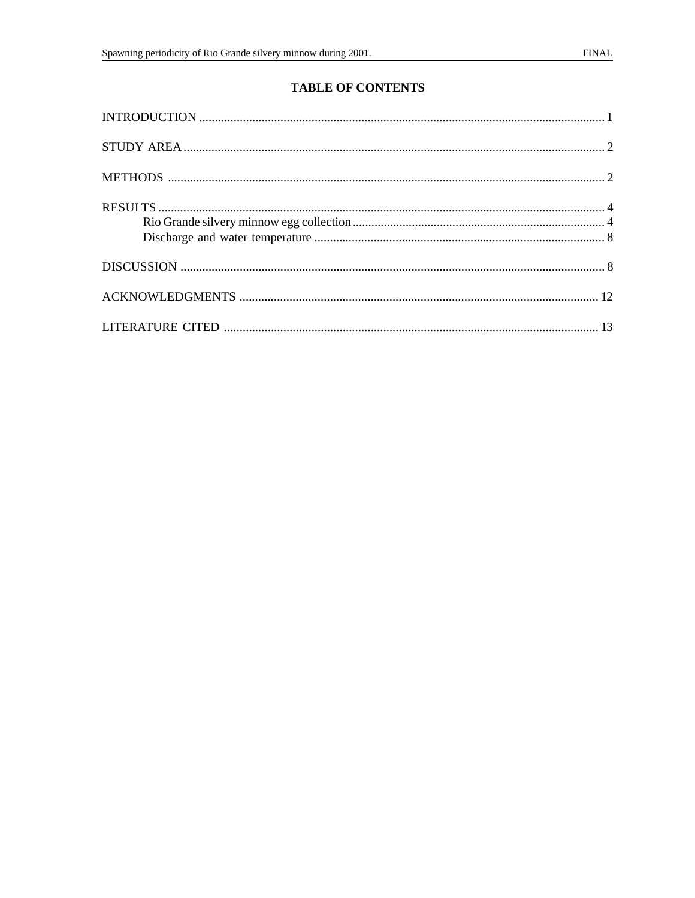# **TABLE OF CONTENTS**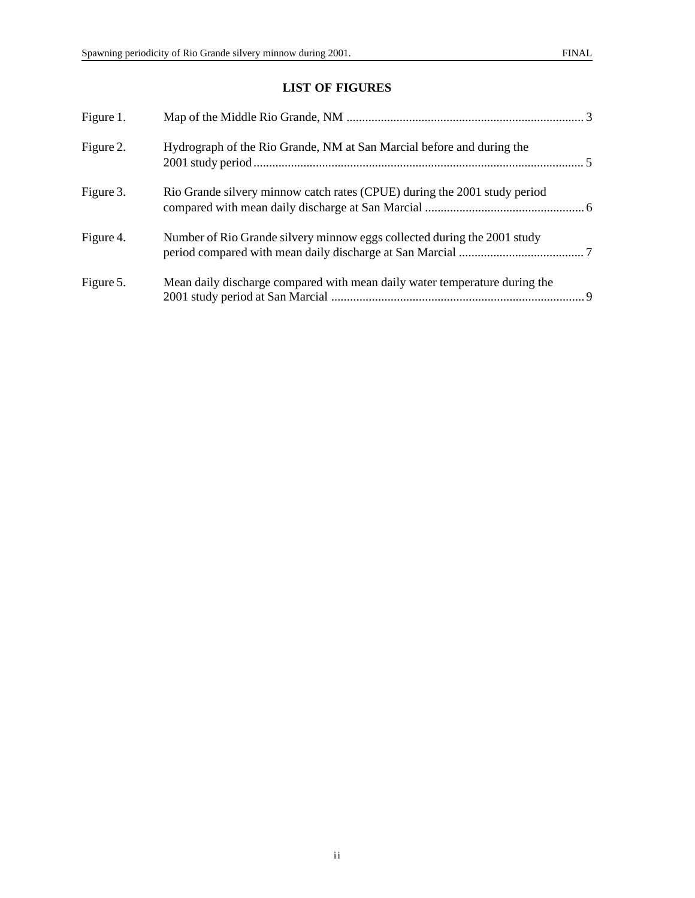## **LIST OF FIGURES**

| Figure 1. |                                                                            |  |
|-----------|----------------------------------------------------------------------------|--|
| Figure 2. | Hydrograph of the Rio Grande, NM at San Marcial before and during the      |  |
| Figure 3. | Rio Grande silvery minnow catch rates (CPUE) during the 2001 study period  |  |
| Figure 4. | Number of Rio Grande silvery minnow eggs collected during the 2001 study   |  |
| Figure 5. | Mean daily discharge compared with mean daily water temperature during the |  |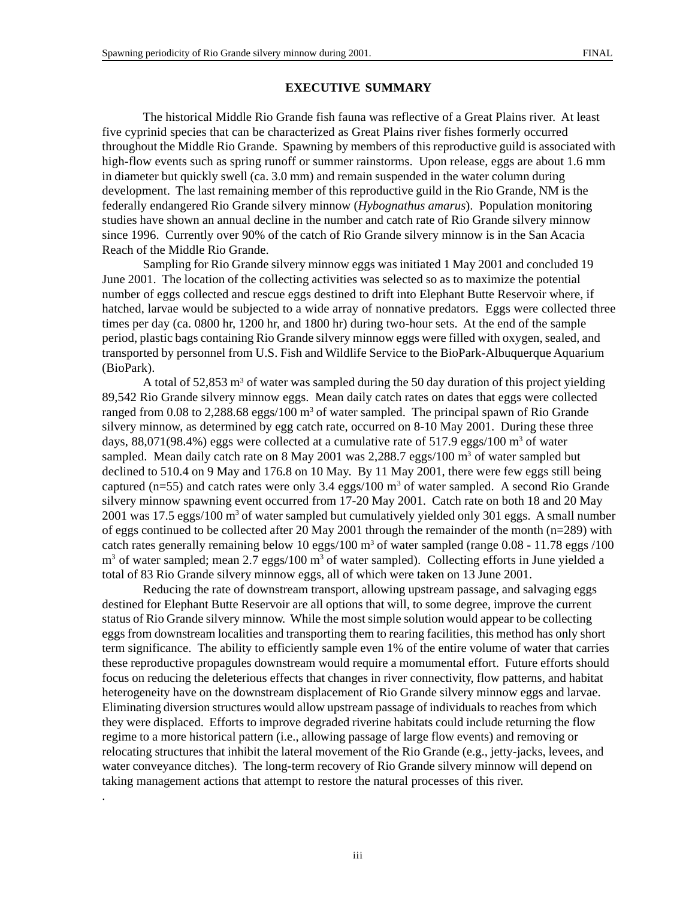## **EXECUTIVE SUMMARY**

The historical Middle Rio Grande fish fauna was reflective of a Great Plains river. At least five cyprinid species that can be characterized as Great Plains river fishes formerly occurred throughout the Middle Rio Grande. Spawning by members of this reproductive guild is associated with high-flow events such as spring runoff or summer rainstorms. Upon release, eggs are about 1.6 mm in diameter but quickly swell (ca. 3.0 mm) and remain suspended in the water column during development. The last remaining member of this reproductive guild in the Rio Grande, NM is the federally endangered Rio Grande silvery minnow (*Hybognathus amarus*). Population monitoring studies have shown an annual decline in the number and catch rate of Rio Grande silvery minnow since 1996. Currently over 90% of the catch of Rio Grande silvery minnow is in the San Acacia Reach of the Middle Rio Grande.

Sampling for Rio Grande silvery minnow eggs was initiated 1 May 2001 and concluded 19 June 2001. The location of the collecting activities was selected so as to maximize the potential number of eggs collected and rescue eggs destined to drift into Elephant Butte Reservoir where, if hatched, larvae would be subjected to a wide array of nonnative predators. Eggs were collected three times per day (ca. 0800 hr, 1200 hr, and 1800 hr) during two-hour sets. At the end of the sample period, plastic bags containing Rio Grande silvery minnow eggs were filled with oxygen, sealed, and transported by personnel from U.S. Fish and Wildlife Service to the BioPark-Albuquerque Aquarium (BioPark).

A total of 52,853  $\text{m}^3$  of water was sampled during the 50 day duration of this project yielding 89,542 Rio Grande silvery minnow eggs. Mean daily catch rates on dates that eggs were collected ranged from 0.08 to 2,288.68 eggs/100  $m<sup>3</sup>$  of water sampled. The principal spawn of Rio Grande silvery minnow, as determined by egg catch rate, occurred on 8-10 May 2001. During these three days,  $88,071(98.4\%)$  eggs were collected at a cumulative rate of 517.9 eggs/100 m<sup>3</sup> of water sampled. Mean daily catch rate on 8 May 2001 was 2,288.7 eggs/100 m<sup>3</sup> of water sampled but declined to 510.4 on 9 May and 176.8 on 10 May. By 11 May 2001, there were few eggs still being captured ( $n=55$ ) and catch rates were only 3.4 eggs/100  $m<sup>3</sup>$  of water sampled. A second Rio Grande silvery minnow spawning event occurred from 17-20 May 2001. Catch rate on both 18 and 20 May 2001 was 17.5 eggs/100  $\text{m}^3$  of water sampled but cumulatively yielded only 301 eggs. A small number of eggs continued to be collected after 20 May 2001 through the remainder of the month (n=289) with catch rates generally remaining below 10 eggs/100  $\text{m}^3$  of water sampled (range 0.08 - 11.78 eggs /100 m<sup>3</sup> of water sampled; mean 2.7 eggs/100 m<sup>3</sup> of water sampled). Collecting efforts in June yielded a total of 83 Rio Grande silvery minnow eggs, all of which were taken on 13 June 2001.

Reducing the rate of downstream transport, allowing upstream passage, and salvaging eggs destined for Elephant Butte Reservoir are all options that will, to some degree, improve the current status of Rio Grande silvery minnow. While the most simple solution would appear to be collecting eggs from downstream localities and transporting them to rearing facilities, this method has only short term significance. The ability to efficiently sample even 1% of the entire volume of water that carries these reproductive propagules downstream would require a momumental effort. Future efforts should focus on reducing the deleterious effects that changes in river connectivity, flow patterns, and habitat heterogeneity have on the downstream displacement of Rio Grande silvery minnow eggs and larvae. Eliminating diversion structures would allow upstream passage of individuals to reaches from which they were displaced. Efforts to improve degraded riverine habitats could include returning the flow regime to a more historical pattern (i.e., allowing passage of large flow events) and removing or relocating structures that inhibit the lateral movement of the Rio Grande (e.g., jetty-jacks, levees, and water conveyance ditches). The long-term recovery of Rio Grande silvery minnow will depend on taking management actions that attempt to restore the natural processes of this river.

.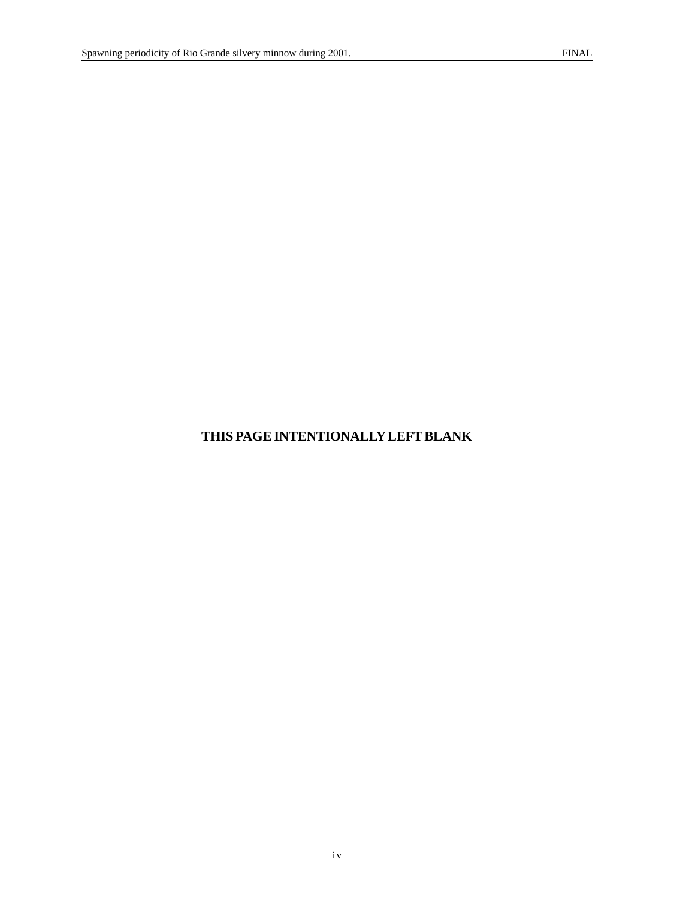# **THIS PAGE INTENTIONALLY LEFT BLANK**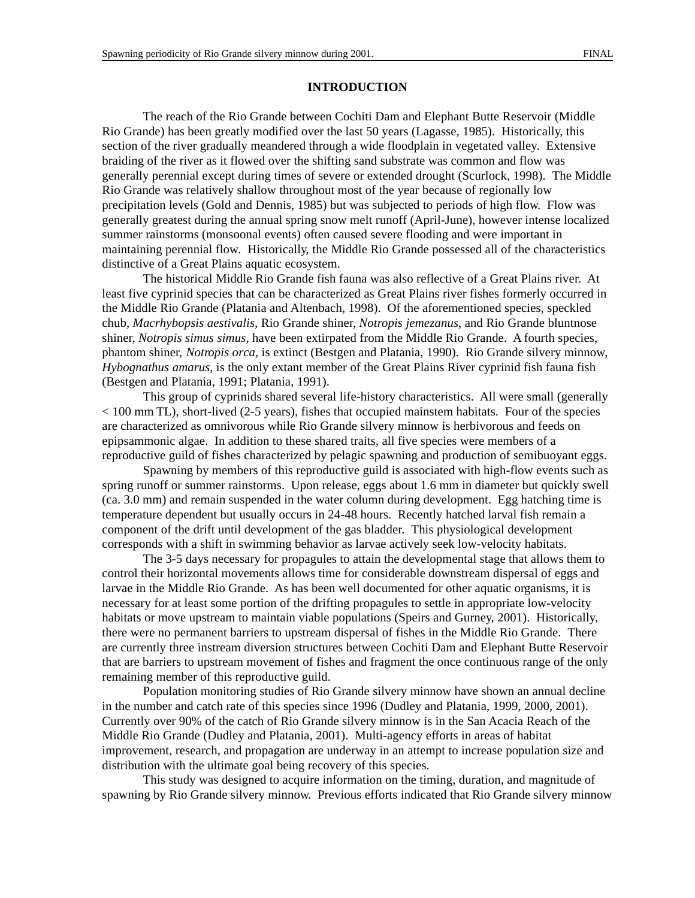## **INTRODUCTION**

The reach of the Rio Grande between Cochiti Dam and Elephant Butte Reservoir (Middle Rio Grande) has been greatly modified over the last 50 years (Lagasse, 1985). Historically, this section of the river gradually meandered through a wide floodplain in vegetated valley. Extensive braiding of the river as it flowed over the shifting sand substrate was common and flow was generally perennial except during times of severe or extended drought (Scurlock, 1998). The Middle Rio Grande was relatively shallow throughout most of the year because of regionally low precipitation levels (Gold and Dennis, 1985) but was subjected to periods of high flow. Flow was generally greatest during the annual spring snow melt runoff (April-June), however intense localized summer rainstorms (monsoonal events) often caused severe flooding and were important in maintaining perennial flow. Historically, the Middle Rio Grande possessed all of the characteristics distinctive of a Great Plains aquatic ecosystem.

The historical Middle Rio Grande fish fauna was also reflective of a Great Plains river. At least five cyprinid species that can be characterized as Great Plains river fishes formerly occurred in the Middle Rio Grande (Platania and Altenbach, 1998). Of the aforementioned species, speckled chub, *Macrhybopsis aestivalis*, Rio Grande shiner, *Notropis jemezanus*, and Rio Grande bluntnose shiner, *Notropis simus simus,* have been extirpated from the Middle Rio Grande. A fourth species, phantom shiner, *Notropis orca*, is extinct (Bestgen and Platania, 1990). Rio Grande silvery minnow, *Hybognathus amarus*, is the only extant member of the Great Plains River cyprinid fish fauna fish (Bestgen and Platania, 1991; Platania, 1991).

This group of cyprinids shared several life-history characteristics. All were small (generally < 100 mm TL), short-lived (2-5 years), fishes that occupied mainstem habitats. Four of the species are characterized as omnivorous while Rio Grande silvery minnow is herbivorous and feeds on epipsammonic algae. In addition to these shared traits, all five species were members of a reproductive guild of fishes characterized by pelagic spawning and production of semibuoyant eggs.

Spawning by members of this reproductive guild is associated with high-flow events such as spring runoff or summer rainstorms. Upon release, eggs about 1.6 mm in diameter but quickly swell (ca. 3.0 mm) and remain suspended in the water column during development. Egg hatching time is temperature dependent but usually occurs in 24-48 hours. Recently hatched larval fish remain a component of the drift until development of the gas bladder. This physiological development corresponds with a shift in swimming behavior as larvae actively seek low-velocity habitats.

The 3-5 days necessary for propagules to attain the developmental stage that allows them to control their horizontal movements allows time for considerable downstream dispersal of eggs and larvae in the Middle Rio Grande. As has been well documented for other aquatic organisms, it is necessary for at least some portion of the drifting propagules to settle in appropriate low-velocity habitats or move upstream to maintain viable populations (Speirs and Gurney, 2001). Historically, there were no permanent barriers to upstream dispersal of fishes in the Middle Rio Grande. There are currently three instream diversion structures between Cochiti Dam and Elephant Butte Reservoir that are barriers to upstream movement of fishes and fragment the once continuous range of the only remaining member of this reproductive guild.

Population monitoring studies of Rio Grande silvery minnow have shown an annual decline in the number and catch rate of this species since 1996 (Dudley and Platania, 1999, 2000, 2001). Currently over 90% of the catch of Rio Grande silvery minnow is in the San Acacia Reach of the Middle Rio Grande (Dudley and Platania, 2001). Multi-agency efforts in areas of habitat improvement, research, and propagation are underway in an attempt to increase population size and distribution with the ultimate goal being recovery of this species.

This study was designed to acquire information on the timing, duration, and magnitude of spawning by Rio Grande silvery minnow. Previous efforts indicated that Rio Grande silvery minnow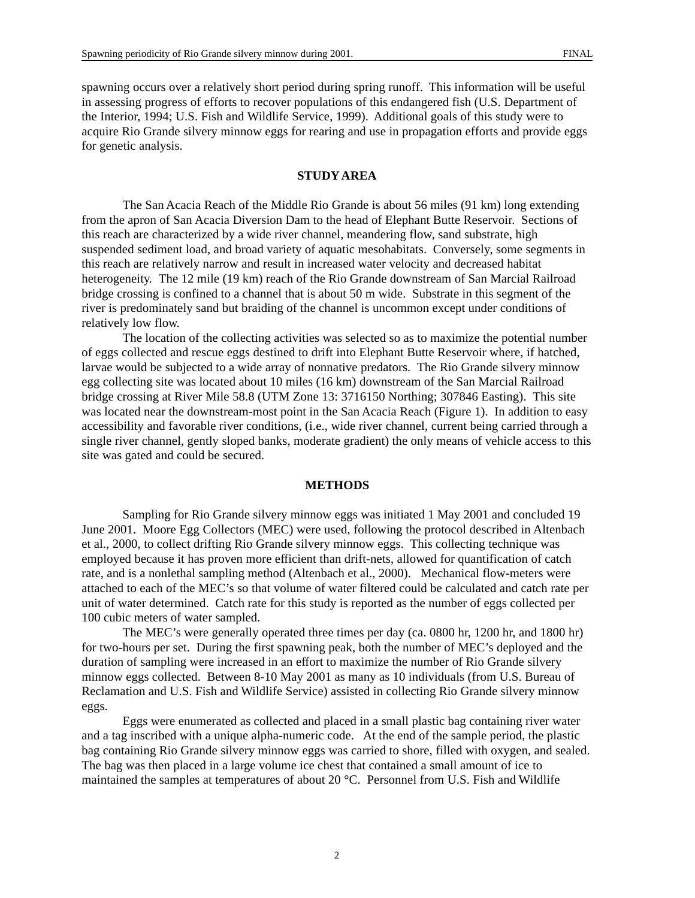spawning occurs over a relatively short period during spring runoff. This information will be useful in assessing progress of efforts to recover populations of this endangered fish (U.S. Department of the Interior, 1994; U.S. Fish and Wildlife Service, 1999). Additional goals of this study were to acquire Rio Grande silvery minnow eggs for rearing and use in propagation efforts and provide eggs for genetic analysis.

## **STUDY AREA**

The San Acacia Reach of the Middle Rio Grande is about 56 miles (91 km) long extending from the apron of San Acacia Diversion Dam to the head of Elephant Butte Reservoir. Sections of this reach are characterized by a wide river channel, meandering flow, sand substrate, high suspended sediment load, and broad variety of aquatic mesohabitats. Conversely, some segments in this reach are relatively narrow and result in increased water velocity and decreased habitat heterogeneity. The 12 mile (19 km) reach of the Rio Grande downstream of San Marcial Railroad bridge crossing is confined to a channel that is about 50 m wide. Substrate in this segment of the river is predominately sand but braiding of the channel is uncommon except under conditions of relatively low flow.

The location of the collecting activities was selected so as to maximize the potential number of eggs collected and rescue eggs destined to drift into Elephant Butte Reservoir where, if hatched, larvae would be subjected to a wide array of nonnative predators. The Rio Grande silvery minnow egg collecting site was located about 10 miles (16 km) downstream of the San Marcial Railroad bridge crossing at River Mile 58.8 (UTM Zone 13: 3716150 Northing; 307846 Easting). This site was located near the downstream-most point in the San Acacia Reach (Figure 1). In addition to easy accessibility and favorable river conditions, (i.e., wide river channel, current being carried through a single river channel, gently sloped banks, moderate gradient) the only means of vehicle access to this site was gated and could be secured.

#### **METHODS**

Sampling for Rio Grande silvery minnow eggs was initiated 1 May 2001 and concluded 19 June 2001. Moore Egg Collectors (MEC) were used, following the protocol described in Altenbach et al., 2000, to collect drifting Rio Grande silvery minnow eggs. This collecting technique was employed because it has proven more efficient than drift-nets, allowed for quantification of catch rate, and is a nonlethal sampling method (Altenbach et al., 2000). Mechanical flow-meters were attached to each of the MEC's so that volume of water filtered could be calculated and catch rate per unit of water determined. Catch rate for this study is reported as the number of eggs collected per 100 cubic meters of water sampled.

The MEC's were generally operated three times per day (ca. 0800 hr, 1200 hr, and 1800 hr) for two-hours per set. During the first spawning peak, both the number of MEC's deployed and the duration of sampling were increased in an effort to maximize the number of Rio Grande silvery minnow eggs collected. Between 8-10 May 2001 as many as 10 individuals (from U.S. Bureau of Reclamation and U.S. Fish and Wildlife Service) assisted in collecting Rio Grande silvery minnow eggs.

Eggs were enumerated as collected and placed in a small plastic bag containing river water and a tag inscribed with a unique alpha-numeric code. At the end of the sample period, the plastic bag containing Rio Grande silvery minnow eggs was carried to shore, filled with oxygen, and sealed. The bag was then placed in a large volume ice chest that contained a small amount of ice to maintained the samples at temperatures of about 20 °C. Personnel from U.S. Fish and Wildlife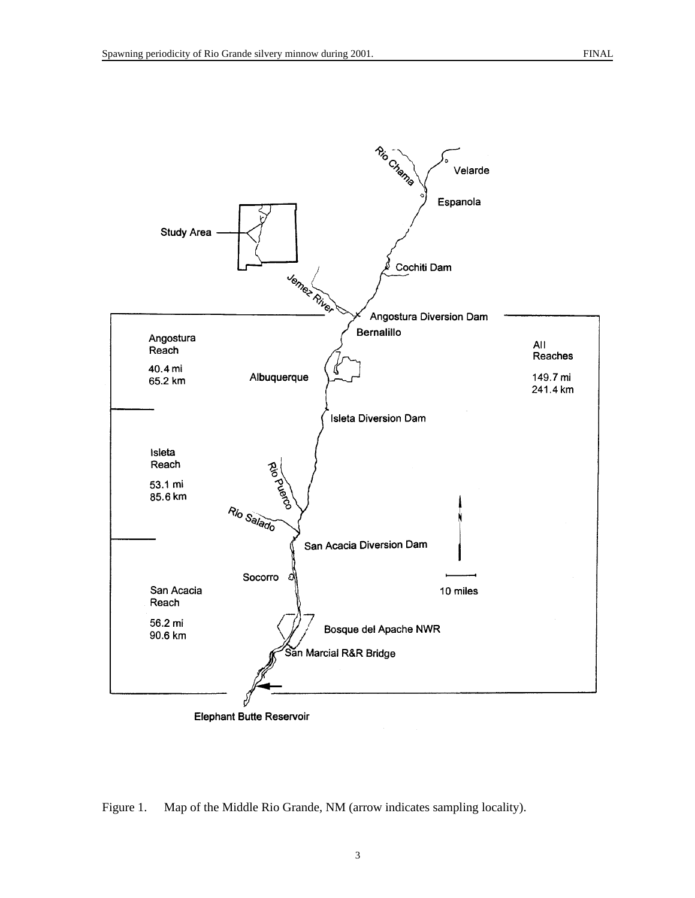

**Elephant Butte Reservoir** 

Figure 1. Map of the Middle Rio Grande, NM (arrow indicates sampling locality).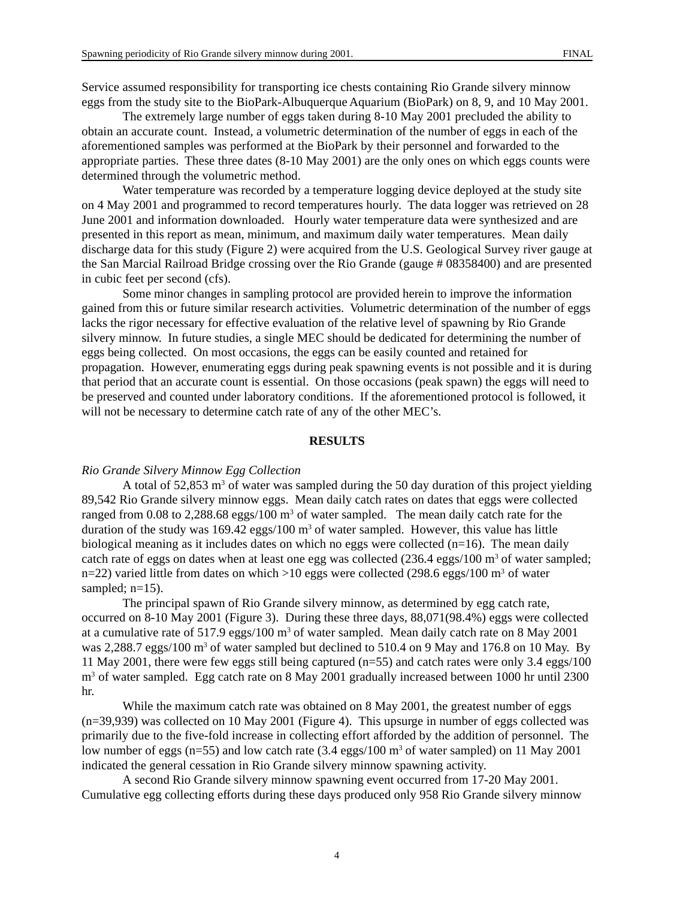Service assumed responsibility for transporting ice chests containing Rio Grande silvery minnow eggs from the study site to the BioPark-Albuquerque Aquarium (BioPark) on 8, 9, and 10 May 2001.

The extremely large number of eggs taken during 8-10 May 2001 precluded the ability to obtain an accurate count. Instead, a volumetric determination of the number of eggs in each of the aforementioned samples was performed at the BioPark by their personnel and forwarded to the appropriate parties. These three dates (8-10 May 2001) are the only ones on which eggs counts were determined through the volumetric method.

Water temperature was recorded by a temperature logging device deployed at the study site on 4 May 2001 and programmed to record temperatures hourly. The data logger was retrieved on 28 June 2001 and information downloaded. Hourly water temperature data were synthesized and are presented in this report as mean, minimum, and maximum daily water temperatures. Mean daily discharge data for this study (Figure 2) were acquired from the U.S. Geological Survey river gauge at the San Marcial Railroad Bridge crossing over the Rio Grande (gauge # 08358400) and are presented in cubic feet per second (cfs).

Some minor changes in sampling protocol are provided herein to improve the information gained from this or future similar research activities. Volumetric determination of the number of eggs lacks the rigor necessary for effective evaluation of the relative level of spawning by Rio Grande silvery minnow. In future studies, a single MEC should be dedicated for determining the number of eggs being collected. On most occasions, the eggs can be easily counted and retained for propagation. However, enumerating eggs during peak spawning events is not possible and it is during that period that an accurate count is essential. On those occasions (peak spawn) the eggs will need to be preserved and counted under laboratory conditions. If the aforementioned protocol is followed, it will not be necessary to determine catch rate of any of the other MEC's.

#### **RESULTS**

## *Rio Grande Silvery Minnow Egg Collection*

A total of  $52,853$  m<sup>3</sup> of water was sampled during the 50 day duration of this project yielding 89,542 Rio Grande silvery minnow eggs. Mean daily catch rates on dates that eggs were collected ranged from 0.08 to 2,288.68 eggs/100  $\text{m}^3$  of water sampled. The mean daily catch rate for the duration of the study was  $169.42$  eggs/100 m<sup>3</sup> of water sampled. However, this value has little biological meaning as it includes dates on which no eggs were collected  $(n=16)$ . The mean daily catch rate of eggs on dates when at least one egg was collected  $(236.4 \text{ eggs}/100 \text{ m}^3)$  of water sampled;  $m=22$ ) varied little from dates on which >10 eggs were collected (298.6 eggs/100 m<sup>3</sup> of water sampled;  $n=15$ ).

The principal spawn of Rio Grande silvery minnow, as determined by egg catch rate, occurred on 8-10 May 2001 (Figure 3). During these three days, 88,071(98.4%) eggs were collected at a cumulative rate of  $517.9$  eggs/100  $\mathrm{m}^3$  of water sampled. Mean daily catch rate on 8 May 2001 was 2,288.7 eggs/100 m<sup>3</sup> of water sampled but declined to 510.4 on 9 May and 176.8 on 10 May. By 11 May 2001, there were few eggs still being captured (n=55) and catch rates were only 3.4 eggs/100 m<sup>3</sup> of water sampled. Egg catch rate on 8 May 2001 gradually increased between 1000 hr until 2300 hr.

While the maximum catch rate was obtained on 8 May 2001, the greatest number of eggs (n=39,939) was collected on 10 May 2001 (Figure 4). This upsurge in number of eggs collected was primarily due to the five-fold increase in collecting effort afforded by the addition of personnel. The low number of eggs  $(n=55)$  and low catch rate  $(3.4 \text{ eggs}/100 \text{ m}^3)$  of water sampled) on 11 May 2001 indicated the general cessation in Rio Grande silvery minnow spawning activity.

A second Rio Grande silvery minnow spawning event occurred from 17-20 May 2001. Cumulative egg collecting efforts during these days produced only 958 Rio Grande silvery minnow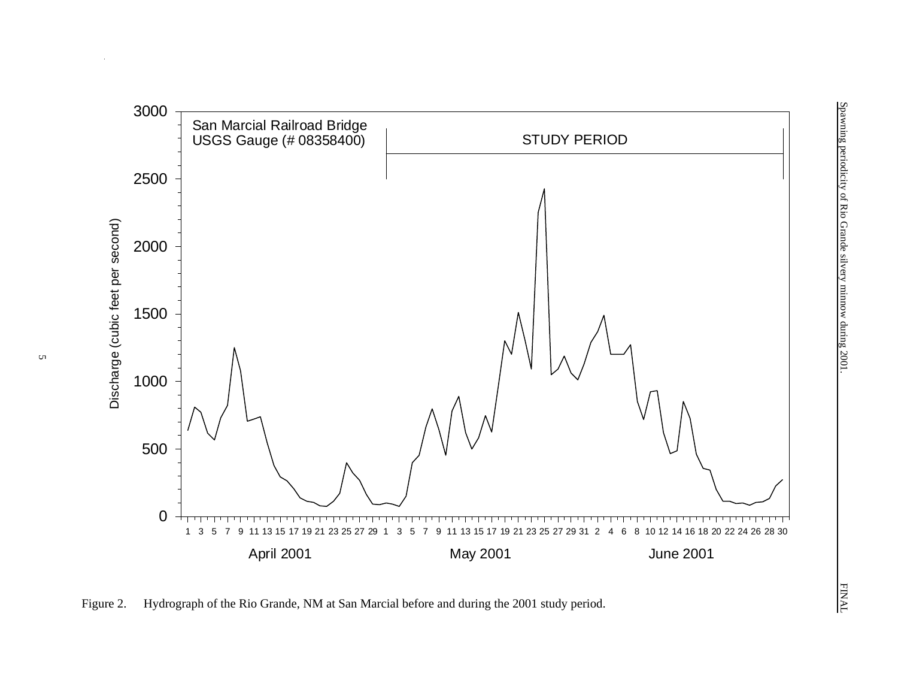

 $\sigma$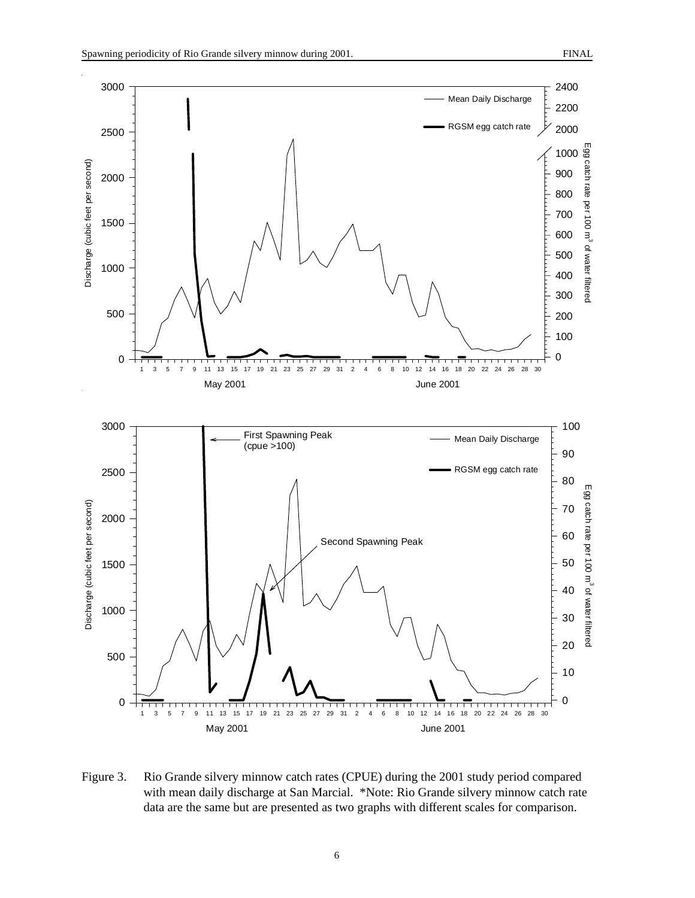

Figure 3. Rio Grande silvery minnow catch rates (CPUE) during the 2001 study period compared with mean daily discharge at San Marcial. \*Note: Rio Grande silvery minnow catch rate data are the same but are presented as two graphs with different scales for comparison.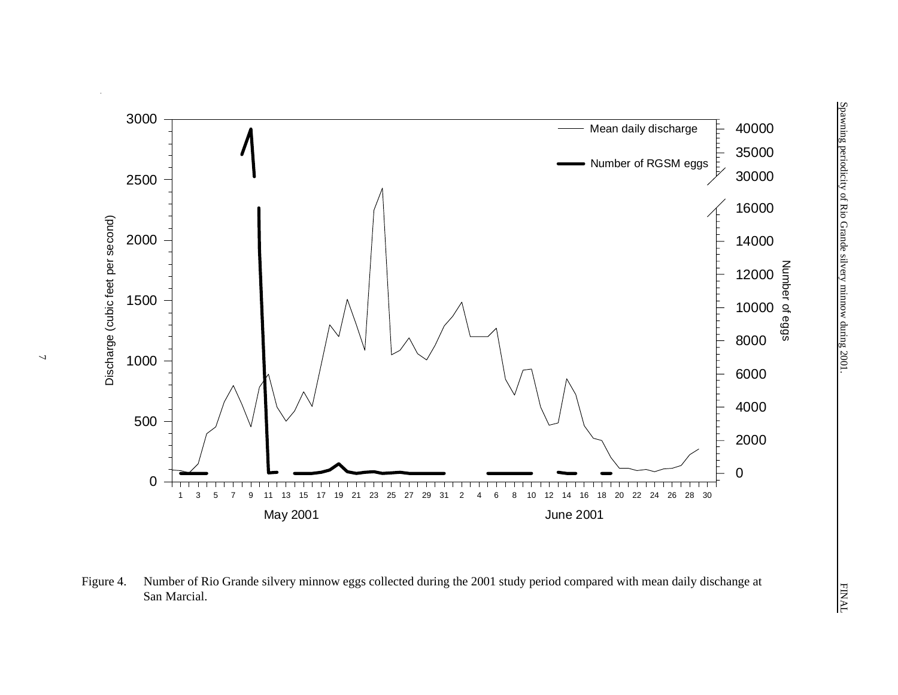

 $\overline{a}$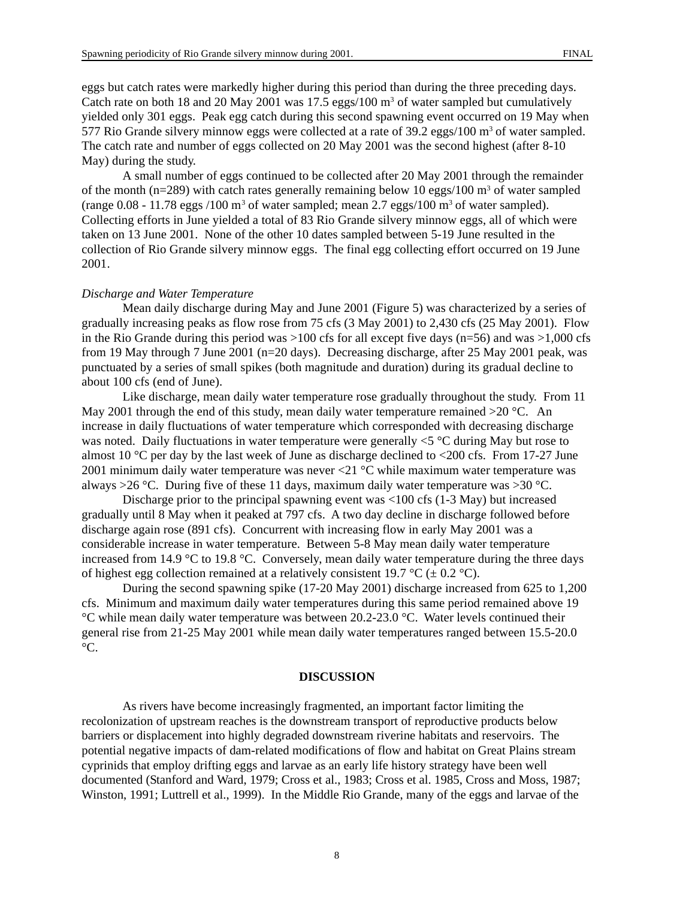eggs but catch rates were markedly higher during this period than during the three preceding days. Catch rate on both 18 and 20 May 2001 was  $17.5$  eggs/100  $\text{m}^3$  of water sampled but cumulatively yielded only 301 eggs. Peak egg catch during this second spawning event occurred on 19 May when 577 Rio Grande silvery minnow eggs were collected at a rate of  $39.2$  eggs/100 m<sup>3</sup> of water sampled. The catch rate and number of eggs collected on 20 May 2001 was the second highest (after 8-10 May) during the study.

A small number of eggs continued to be collected after 20 May 2001 through the remainder of the month ( $n=289$ ) with catch rates generally remaining below 10 eggs/100 m<sup>3</sup> of water sampled (range  $0.08 - 11.78$  eggs  $/100$  m<sup>3</sup> of water sampled; mean  $2.7$  eggs $/100$  m<sup>3</sup> of water sampled). Collecting efforts in June yielded a total of 83 Rio Grande silvery minnow eggs, all of which were taken on 13 June 2001. None of the other 10 dates sampled between 5-19 June resulted in the collection of Rio Grande silvery minnow eggs. The final egg collecting effort occurred on 19 June 2001.

#### *Discharge and Water Temperature*

Mean daily discharge during May and June 2001 (Figure 5) was characterized by a series of gradually increasing peaks as flow rose from 75 cfs (3 May 2001) to 2,430 cfs (25 May 2001). Flow in the Rio Grande during this period was  $>100$  cfs for all except five days (n=56) and was  $>1,000$  cfs from 19 May through 7 June 2001 (n=20 days). Decreasing discharge, after 25 May 2001 peak, was punctuated by a series of small spikes (both magnitude and duration) during its gradual decline to about 100 cfs (end of June).

Like discharge, mean daily water temperature rose gradually throughout the study. From 11 May 2001 through the end of this study, mean daily water temperature remained  $>20$  °C. An increase in daily fluctuations of water temperature which corresponded with decreasing discharge was noted. Daily fluctuations in water temperature were generally  $\lt$  5 °C during May but rose to almost 10  $^{\circ}$ C per day by the last week of June as discharge declined to <200 cfs. From 17-27 June 2001 minimum daily water temperature was never <21 °C while maximum water temperature was always  $>$  26 °C. During five of these 11 days, maximum daily water temperature was  $>$  30 °C.

Discharge prior to the principal spawning event was <100 cfs (1-3 May) but increased gradually until 8 May when it peaked at 797 cfs. A two day decline in discharge followed before discharge again rose (891 cfs). Concurrent with increasing flow in early May 2001 was a considerable increase in water temperature. Between 5-8 May mean daily water temperature increased from 14.9 °C to 19.8 °C. Conversely, mean daily water temperature during the three days of highest egg collection remained at a relatively consistent 19.7 °C ( $\pm$  0.2 °C).

During the second spawning spike (17-20 May 2001) discharge increased from 625 to 1,200 cfs. Minimum and maximum daily water temperatures during this same period remained above 19 °C while mean daily water temperature was between 20.2-23.0 °C. Water levels continued their general rise from 21-25 May 2001 while mean daily water temperatures ranged between 15.5-20.0  $\rm{^{\circ}C}.$ 

#### **DISCUSSION**

As rivers have become increasingly fragmented, an important factor limiting the recolonization of upstream reaches is the downstream transport of reproductive products below barriers or displacement into highly degraded downstream riverine habitats and reservoirs. The potential negative impacts of dam-related modifications of flow and habitat on Great Plains stream cyprinids that employ drifting eggs and larvae as an early life history strategy have been well documented (Stanford and Ward, 1979; Cross et al., 1983; Cross et al. 1985, Cross and Moss, 1987; Winston, 1991; Luttrell et al., 1999). In the Middle Rio Grande, many of the eggs and larvae of the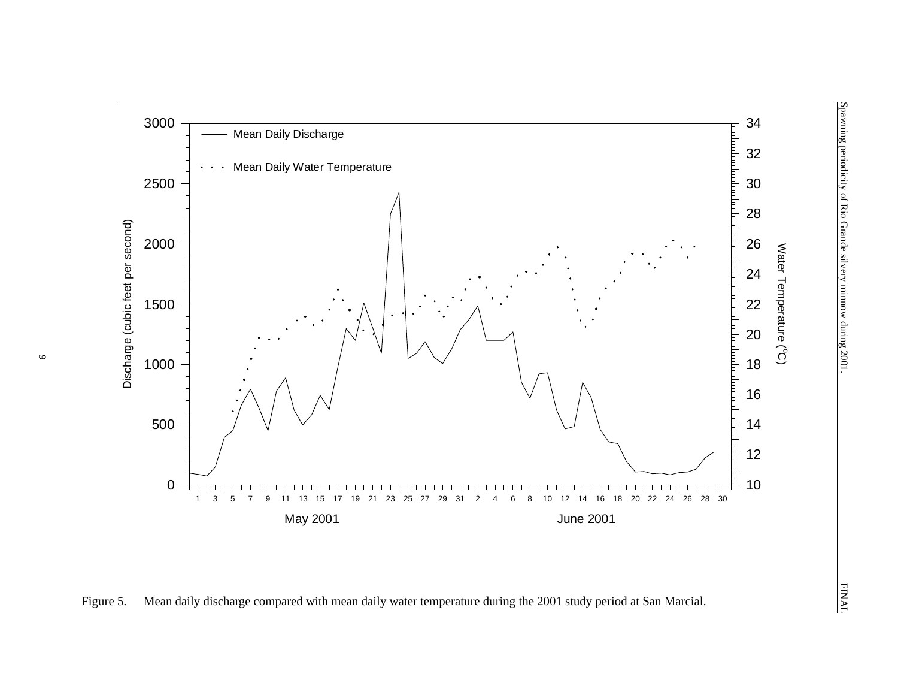

 $\circ$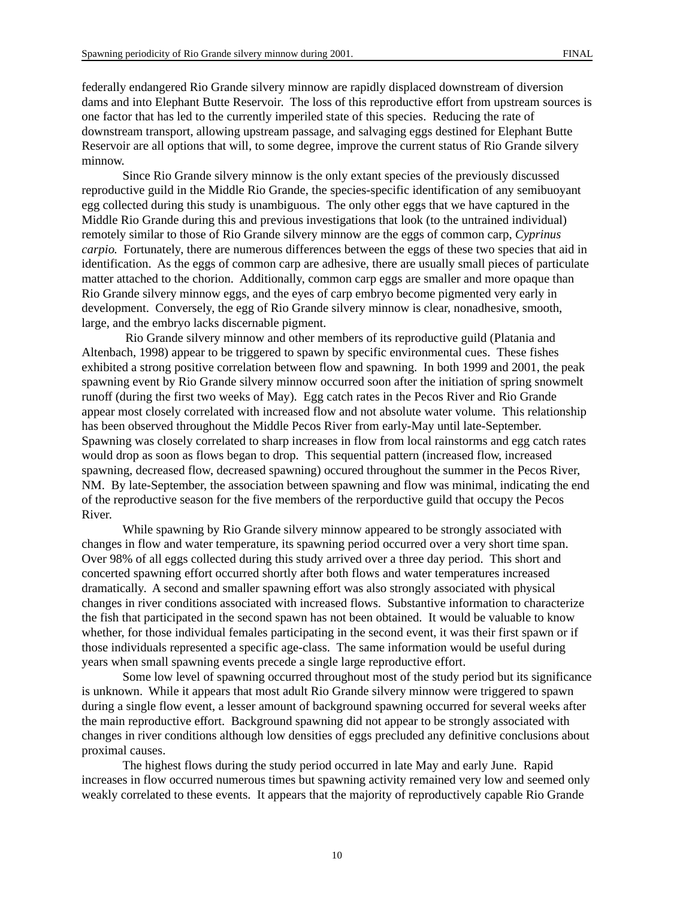federally endangered Rio Grande silvery minnow are rapidly displaced downstream of diversion dams and into Elephant Butte Reservoir. The loss of this reproductive effort from upstream sources is one factor that has led to the currently imperiled state of this species. Reducing the rate of downstream transport, allowing upstream passage, and salvaging eggs destined for Elephant Butte Reservoir are all options that will, to some degree, improve the current status of Rio Grande silvery minnow.

Since Rio Grande silvery minnow is the only extant species of the previously discussed reproductive guild in the Middle Rio Grande, the species-specific identification of any semibuoyant egg collected during this study is unambiguous. The only other eggs that we have captured in the Middle Rio Grande during this and previous investigations that look (to the untrained individual) remotely similar to those of Rio Grande silvery minnow are the eggs of common carp, *Cyprinus carpio*. Fortunately, there are numerous differences between the eggs of these two species that aid in identification. As the eggs of common carp are adhesive, there are usually small pieces of particulate matter attached to the chorion. Additionally, common carp eggs are smaller and more opaque than Rio Grande silvery minnow eggs, and the eyes of carp embryo become pigmented very early in development. Conversely, the egg of Rio Grande silvery minnow is clear, nonadhesive, smooth, large, and the embryo lacks discernable pigment.

 Rio Grande silvery minnow and other members of its reproductive guild (Platania and Altenbach, 1998) appear to be triggered to spawn by specific environmental cues. These fishes exhibited a strong positive correlation between flow and spawning. In both 1999 and 2001, the peak spawning event by Rio Grande silvery minnow occurred soon after the initiation of spring snowmelt runoff (during the first two weeks of May). Egg catch rates in the Pecos River and Rio Grande appear most closely correlated with increased flow and not absolute water volume. This relationship has been observed throughout the Middle Pecos River from early-May until late-September. Spawning was closely correlated to sharp increases in flow from local rainstorms and egg catch rates would drop as soon as flows began to drop. This sequential pattern (increased flow, increased spawning, decreased flow, decreased spawning) occured throughout the summer in the Pecos River, NM. By late-September, the association between spawning and flow was minimal, indicating the end of the reproductive season for the five members of the rerporductive guild that occupy the Pecos River.

While spawning by Rio Grande silvery minnow appeared to be strongly associated with changes in flow and water temperature, its spawning period occurred over a very short time span. Over 98% of all eggs collected during this study arrived over a three day period. This short and concerted spawning effort occurred shortly after both flows and water temperatures increased dramatically. A second and smaller spawning effort was also strongly associated with physical changes in river conditions associated with increased flows. Substantive information to characterize the fish that participated in the second spawn has not been obtained. It would be valuable to know whether, for those individual females participating in the second event, it was their first spawn or if those individuals represented a specific age-class. The same information would be useful during years when small spawning events precede a single large reproductive effort.

Some low level of spawning occurred throughout most of the study period but its significance is unknown. While it appears that most adult Rio Grande silvery minnow were triggered to spawn during a single flow event, a lesser amount of background spawning occurred for several weeks after the main reproductive effort. Background spawning did not appear to be strongly associated with changes in river conditions although low densities of eggs precluded any definitive conclusions about proximal causes.

The highest flows during the study period occurred in late May and early June. Rapid increases in flow occurred numerous times but spawning activity remained very low and seemed only weakly correlated to these events. It appears that the majority of reproductively capable Rio Grande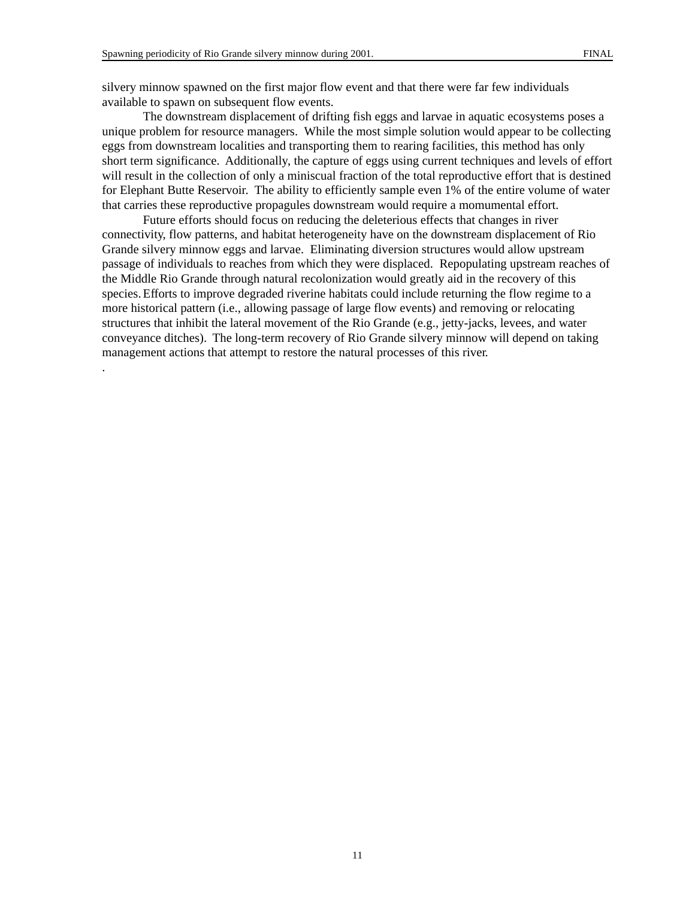.

silvery minnow spawned on the first major flow event and that there were far few individuals available to spawn on subsequent flow events.

The downstream displacement of drifting fish eggs and larvae in aquatic ecosystems poses a unique problem for resource managers. While the most simple solution would appear to be collecting eggs from downstream localities and transporting them to rearing facilities, this method has only short term significance. Additionally, the capture of eggs using current techniques and levels of effort will result in the collection of only a miniscual fraction of the total reproductive effort that is destined for Elephant Butte Reservoir. The ability to efficiently sample even 1% of the entire volume of water that carries these reproductive propagules downstream would require a momumental effort.

Future efforts should focus on reducing the deleterious effects that changes in river connectivity, flow patterns, and habitat heterogeneity have on the downstream displacement of Rio Grande silvery minnow eggs and larvae. Eliminating diversion structures would allow upstream passage of individuals to reaches from which they were displaced. Repopulating upstream reaches of the Middle Rio Grande through natural recolonization would greatly aid in the recovery of this species. Efforts to improve degraded riverine habitats could include returning the flow regime to a more historical pattern (i.e., allowing passage of large flow events) and removing or relocating structures that inhibit the lateral movement of the Rio Grande (e.g., jetty-jacks, levees, and water conveyance ditches). The long-term recovery of Rio Grande silvery minnow will depend on taking management actions that attempt to restore the natural processes of this river.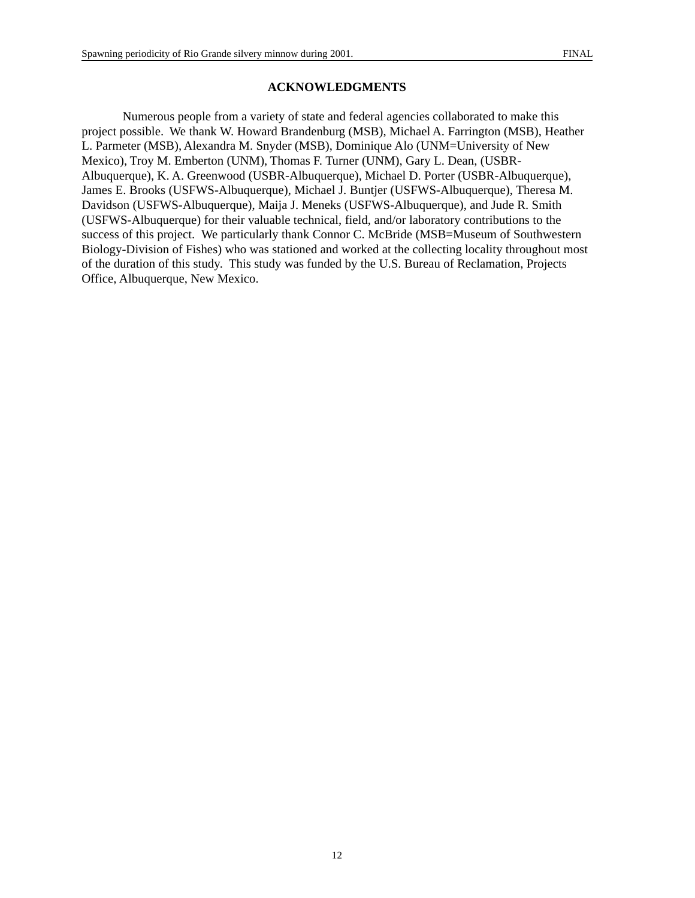## **ACKNOWLEDGMENTS**

Numerous people from a variety of state and federal agencies collaborated to make this project possible. We thank W. Howard Brandenburg (MSB), Michael A. Farrington (MSB), Heather L. Parmeter (MSB), Alexandra M. Snyder (MSB), Dominique Alo (UNM=University of New Mexico), Troy M. Emberton (UNM), Thomas F. Turner (UNM), Gary L. Dean, (USBR-Albuquerque), K. A. Greenwood (USBR-Albuquerque), Michael D. Porter (USBR-Albuquerque), James E. Brooks (USFWS-Albuquerque), Michael J. Buntjer (USFWS-Albuquerque), Theresa M. Davidson (USFWS-Albuquerque), Maija J. Meneks (USFWS-Albuquerque), and Jude R. Smith (USFWS-Albuquerque) for their valuable technical, field, and/or laboratory contributions to the success of this project. We particularly thank Connor C. McBride (MSB=Museum of Southwestern Biology-Division of Fishes) who was stationed and worked at the collecting locality throughout most of the duration of this study. This study was funded by the U.S. Bureau of Reclamation, Projects Office, Albuquerque, New Mexico.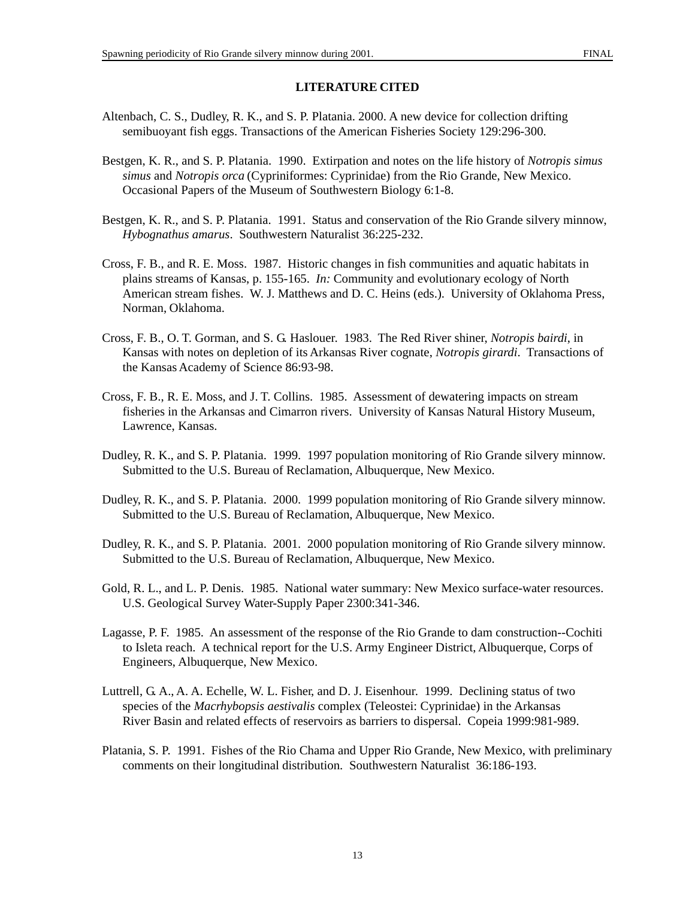## **LITERATURE CITED**

- Altenbach, C. S., Dudley, R. K., and S. P. Platania. 2000. A new device for collection drifting semibuoyant fish eggs. Transactions of the American Fisheries Society 129:296-300.
- Bestgen, K. R., and S. P. Platania. 1990. Extirpation and notes on the life history of *Notropis simus simus* and *Notropis orca* (Cypriniformes: Cyprinidae) from the Rio Grande, New Mexico. Occasional Papers of the Museum of Southwestern Biology 6:1-8.
- Bestgen, K. R., and S. P. Platania. 1991. Status and conservation of the Rio Grande silvery minnow, *Hybognathus amarus*. Southwestern Naturalist 36:225-232.
- Cross, F. B., and R. E. Moss. 1987. Historic changes in fish communities and aquatic habitats in plains streams of Kansas, p. 155-165. *In:* Community and evolutionary ecology of North American stream fishes. W. J. Matthews and D. C. Heins (eds.). University of Oklahoma Press, Norman, Oklahoma.
- Cross, F. B., O. T. Gorman, and S. G. Haslouer. 1983. The Red River shiner, *Notropis bairdi*, in Kansas with notes on depletion of its Arkansas River cognate, *Notropis girardi*. Transactions of the Kansas Academy of Science 86:93-98.
- Cross, F. B., R. E. Moss, and J. T. Collins. 1985. Assessment of dewatering impacts on stream fisheries in the Arkansas and Cimarron rivers. University of Kansas Natural History Museum, Lawrence, Kansas.
- Dudley, R. K., and S. P. Platania. 1999. 1997 population monitoring of Rio Grande silvery minnow. Submitted to the U.S. Bureau of Reclamation, Albuquerque, New Mexico.
- Dudley, R. K., and S. P. Platania. 2000. 1999 population monitoring of Rio Grande silvery minnow. Submitted to the U.S. Bureau of Reclamation, Albuquerque, New Mexico.
- Dudley, R. K., and S. P. Platania. 2001. 2000 population monitoring of Rio Grande silvery minnow. Submitted to the U.S. Bureau of Reclamation, Albuquerque, New Mexico.
- Gold, R. L., and L. P. Denis. 1985. National water summary: New Mexico surface-water resources. U.S. Geological Survey Water-Supply Paper 2300:341-346.
- Lagasse, P. F. 1985. An assessment of the response of the Rio Grande to dam construction--Cochiti to Isleta reach. A technical report for the U.S. Army Engineer District, Albuquerque, Corps of Engineers, Albuquerque, New Mexico.
- Luttrell, G. A., A. A. Echelle, W. L. Fisher, and D. J. Eisenhour. 1999. Declining status of two species of the *Macrhybopsis aestivalis* complex (Teleostei: Cyprinidae) in the Arkansas River Basin and related effects of reservoirs as barriers to dispersal. Copeia 1999:981-989.
- Platania, S. P. 1991. Fishes of the Rio Chama and Upper Rio Grande, New Mexico, with preliminary comments on their longitudinal distribution. Southwestern Naturalist 36:186-193.

13